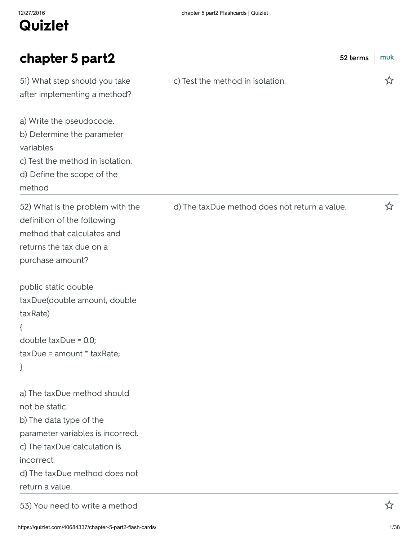| chapter 5 part2                                                                                                                                                                                                                                                           | 52 terms                                      | muk |
|---------------------------------------------------------------------------------------------------------------------------------------------------------------------------------------------------------------------------------------------------------------------------|-----------------------------------------------|-----|
| 51) What step should you take<br>after implementing a method?<br>a) Write the pseudocode.<br>b) Determine the parameter<br>variables.<br>c) Test the method in isolation.<br>d) Define the scope of the<br>method                                                         | c) Test the method in isolation.              | ☆   |
| 52) What is the problem with the<br>definition of the following<br>method that calculates and<br>returns the tax due on a<br>purchase amount?<br>public static double<br>taxDue(double amount, double<br>taxRate)<br>double $taxDue = 0.0;$<br>taxDue = amount * taxRate; | d) The taxDue method does not return a value. | ☆   |
| a) The taxDue method should<br>not be static.<br>b) The data type of the<br>parameter variables is incorrect.<br>c) The taxDue calculation is<br>incorrect.<br>d) The taxDue method does not<br>return a value.                                                           |                                               |     |
| 53) You need to write a method                                                                                                                                                                                                                                            |                                               |     |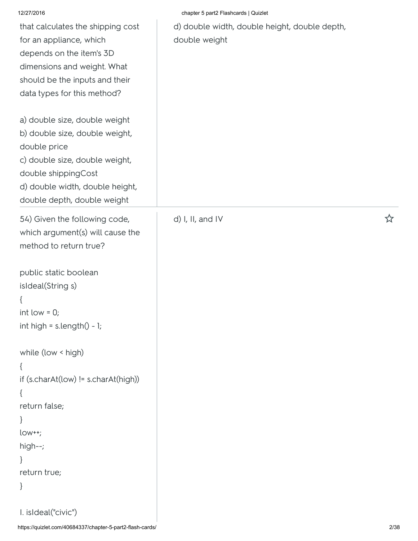| 12/27/2016                                                                                                                                                                                                 | chapter 5 part2 Flashcards   Quizlet                           |   |
|------------------------------------------------------------------------------------------------------------------------------------------------------------------------------------------------------------|----------------------------------------------------------------|---|
| that calculates the shipping cost<br>for an appliance, which<br>depends on the item's 3D<br>dimensions and weight. What<br>should be the inputs and their<br>data types for this method?                   | d) double width, double height, double depth,<br>double weight |   |
| a) double size, double weight<br>b) double size, double weight,<br>double price<br>c) double size, double weight,<br>double shippingCost<br>d) double width, double height,<br>double depth, double weight |                                                                |   |
| 54) Given the following code,<br>which argument(s) will cause the<br>method to return true?                                                                                                                | d) I, II, and IV                                               | ☆ |
| public static boolean<br>isIdeal(String s)<br>int low $= 0$ ;<br>int high = $s.length() - 1;$                                                                                                              |                                                                |   |
| while (low < high)<br>$\mathcal{L}$<br>if (s.charAt(low) != s.charAt(high))<br>₹<br>return false;<br>$low++;$<br>high--;<br>return true;<br>$\}$                                                           |                                                                |   |
| I. isIdeal("civic")                                                                                                                                                                                        |                                                                |   |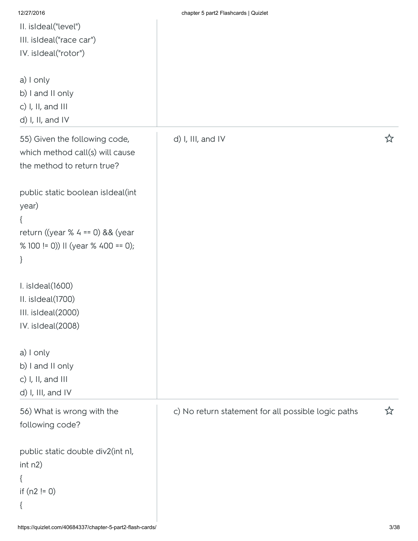| 12/27/2016                          | chapter 5 part2 Flashcards   Quizlet                |   |
|-------------------------------------|-----------------------------------------------------|---|
| II. isIdeal("level")                |                                                     |   |
| III. isIdeal("race car")            |                                                     |   |
| IV. isIdeal("rotor")                |                                                     |   |
|                                     |                                                     |   |
| a) I only                           |                                                     |   |
| b) I and II only                    |                                                     |   |
| c) $I, II, and III$                 |                                                     |   |
| d) I, II, and IV                    |                                                     |   |
| 55) Given the following code,       | d) I, III, and IV                                   | ☆ |
| which method call(s) will cause     |                                                     |   |
| the method to return true?          |                                                     |   |
|                                     |                                                     |   |
| public static boolean isIdeal(int   |                                                     |   |
| year)                               |                                                     |   |
| ₹                                   |                                                     |   |
| return ((year % $4 == 0$ ) && (year |                                                     |   |
| % 100 != 0)) II (year % 400 == 0);  |                                                     |   |
| $\}$                                |                                                     |   |
|                                     |                                                     |   |
| I. isIdeal(1600)                    |                                                     |   |
| II. isIdeal(1700)                   |                                                     |   |
| III. isIdeal(2000)                  |                                                     |   |
| IV. isIdeal(2008)                   |                                                     |   |
|                                     |                                                     |   |
| a) I only                           |                                                     |   |
| b) I and II only                    |                                                     |   |
| c) I, II, and III                   |                                                     |   |
| d) I, III, and IV                   |                                                     |   |
| 56) What is wrong with the          | c) No return statement for all possible logic paths | ☆ |
| following code?                     |                                                     |   |
|                                     |                                                     |   |
| public static double div2(int nl,   |                                                     |   |
| int n2)                             |                                                     |   |
| {                                   |                                                     |   |
| if $(n2 != 0)$                      |                                                     |   |
| $\{$                                |                                                     |   |
|                                     |                                                     |   |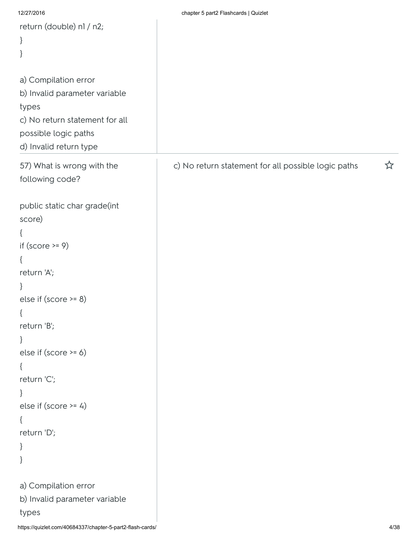| 12/27/2016                                                | chapter 5 part2 Flashcards   Quizlet                |      |
|-----------------------------------------------------------|-----------------------------------------------------|------|
| return (double) nl / n2;                                  |                                                     |      |
| $\}$                                                      |                                                     |      |
| }                                                         |                                                     |      |
|                                                           |                                                     |      |
| a) Compilation error                                      |                                                     |      |
| b) Invalid parameter variable                             |                                                     |      |
| types                                                     |                                                     |      |
| c) No return statement for all                            |                                                     |      |
| possible logic paths                                      |                                                     |      |
| d) Invalid return type                                    |                                                     |      |
| 57) What is wrong with the<br>following code?             | c) No return statement for all possible logic paths | ☆    |
| public static char grade(int                              |                                                     |      |
| score)                                                    |                                                     |      |
|                                                           |                                                     |      |
| if $(score \ge 9)$                                        |                                                     |      |
| $\{$                                                      |                                                     |      |
| return 'A';                                               |                                                     |      |
| $\}$                                                      |                                                     |      |
| else if $(score \ge 8)$                                   |                                                     |      |
| $\{$                                                      |                                                     |      |
| return 'B';                                               |                                                     |      |
| $\}$                                                      |                                                     |      |
| else if (score >= 6)                                      |                                                     |      |
| $\{$                                                      |                                                     |      |
| return 'C';                                               |                                                     |      |
| }                                                         |                                                     |      |
| else if $(score \ge 4)$                                   |                                                     |      |
| $\{$                                                      |                                                     |      |
| return 'D';                                               |                                                     |      |
| $\}$                                                      |                                                     |      |
| }                                                         |                                                     |      |
| a) Compilation error                                      |                                                     |      |
| b) Invalid parameter variable                             |                                                     |      |
| types                                                     |                                                     |      |
| https://quizlet.com/40684337/chapter-5-part2-flash-cards/ |                                                     | 4/38 |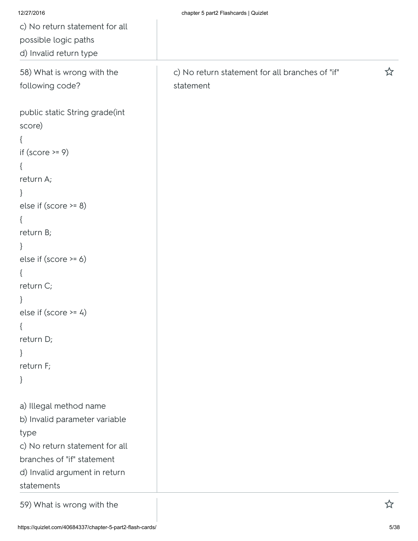| 12/27/2016                     | chapter 5 part2 Flashcards   Quizlet            |   |
|--------------------------------|-------------------------------------------------|---|
| c) No return statement for all |                                                 |   |
| possible logic paths           |                                                 |   |
| d) Invalid return type         |                                                 |   |
| 58) What is wrong with the     | c) No return statement for all branches of "if" |   |
| following code?                | statement                                       |   |
| public static String grade(int |                                                 |   |
| score)                         |                                                 |   |
| $\{$                           |                                                 |   |
| if (score $>= 9$ )             |                                                 |   |
| $\{$                           |                                                 |   |
| return A;                      |                                                 |   |
| $\}$                           |                                                 |   |
| else if $(score \ge 8)$        |                                                 |   |
| $\{$                           |                                                 |   |
| return B;                      |                                                 |   |
| $\}$                           |                                                 |   |
| else if $(score \ge 6)$        |                                                 |   |
| $\{$                           |                                                 |   |
| return C;                      |                                                 |   |
|                                |                                                 |   |
| else if $(score \ge 4)$        |                                                 |   |
| $\{$                           |                                                 |   |
| return D;                      |                                                 |   |
| $\}$                           |                                                 |   |
| return F;                      |                                                 |   |
| $\}$                           |                                                 |   |
| a) Illegal method name         |                                                 |   |
| b) Invalid parameter variable  |                                                 |   |
| type                           |                                                 |   |
| c) No return statement for all |                                                 |   |
| branches of "if" statement     |                                                 |   |
| d) Invalid argument in return  |                                                 |   |
| statements                     |                                                 |   |
| 59) What is wrong with the     |                                                 | 公 |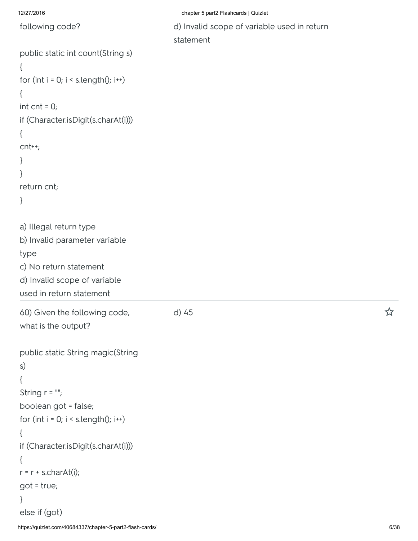12/27/2016 chapter 5 part2 Flashcards | Quizlet

| following code?                                                                                                                                                                                                                                                                                                 | d) Invalid scope of variable used in return<br>statement |   |
|-----------------------------------------------------------------------------------------------------------------------------------------------------------------------------------------------------------------------------------------------------------------------------------------------------------------|----------------------------------------------------------|---|
| public static int count(String s)<br>{<br>for (int $i = 0$ ; $i < s$ .length(); $i++)$<br>int $cnt = 0;$<br>if (Character.isDigit(s.charAt(i)))<br>{<br>$cnt++;$<br>return cnt;<br>ł                                                                                                                            |                                                          |   |
| a) Illegal return type<br>b) Invalid parameter variable<br>type<br>c) No return statement<br>d) Invalid scope of variable<br>used in return statement                                                                                                                                                           |                                                          |   |
| 60) Given the following code,<br>what is the output?<br>public static String magic(String<br>s)<br>String $r = \frac{m}{r}$<br>boolean got = false;<br>for (int $i = 0$ ; $i \leq s.length(i)$ ; $i++)$<br>{<br>if (Character.isDigit(s.charAt(i)))<br>$r = r + s.charAt(i);$<br>$got = true;$<br>else if (got) | d) 45                                                    | ☆ |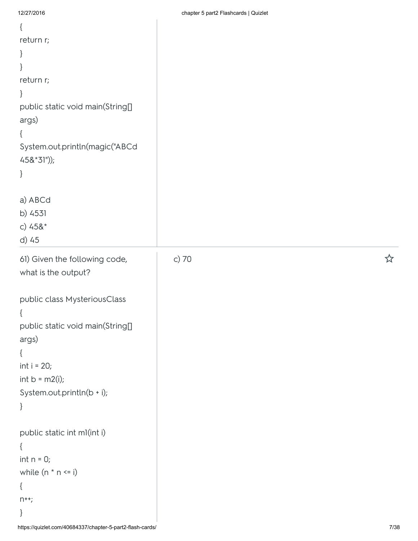| $\{$                                                      |       |        |
|-----------------------------------------------------------|-------|--------|
| return r;                                                 |       |        |
| $\}$                                                      |       |        |
| $\}$                                                      |       |        |
| return r;                                                 |       |        |
| $\}$                                                      |       |        |
| public static void main(String[]                          |       |        |
| args)                                                     |       |        |
| $\{$                                                      |       |        |
| System.out.println(magic("ABCd                            |       |        |
| $458*31")$ ;                                              |       |        |
| $\}$                                                      |       |        |
|                                                           |       |        |
| a) ABCd                                                   |       |        |
| b) 4531                                                   |       |        |
| c) $458*$                                                 |       |        |
| d) 45                                                     |       |        |
| 61) Given the following code,                             | c) 70 | ☆      |
| what is the output?                                       |       |        |
|                                                           |       |        |
| public class MysteriousClass                              |       |        |
|                                                           |       |        |
| public static void main(String[]                          |       |        |
| args)                                                     |       |        |
| $\{$                                                      |       |        |
| int $i = 20$ ;                                            |       |        |
| int $b = m2(i);$                                          |       |        |
| System.out.println(b + i);                                |       |        |
| $\}$                                                      |       |        |
|                                                           |       |        |
| public static int ml(int i)                               |       |        |
| $\{$                                                      |       |        |
| $int n = 0;$                                              |       |        |
| while $(n * n \le i)$                                     |       |        |
| $\{$                                                      |       |        |
| $n^{++}$ ;                                                |       |        |
| $\}$                                                      |       |        |
| https://quizlet.com/40684337/chapter-5-part2-flash-cards/ |       | $7/38$ |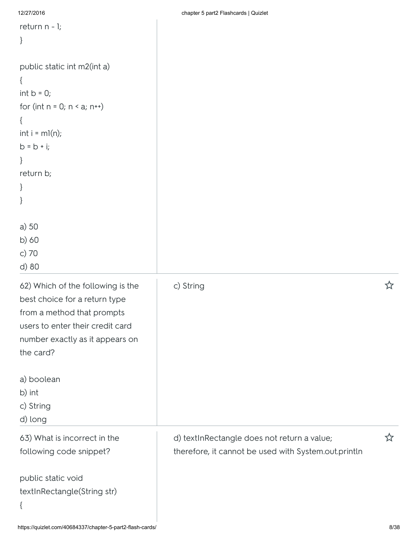```
12/27/2016 chapter 5 part2 Flashcards | Quizlet
return n - 1;
}
public static int m2(int a)
{
int b = 0;
for (int n = 0; n \le a; n^{++})
{
int i = ml(n);
b = b + i;}
return b;
}
}
a) 50
b) 60
c) 70
d) 80
62) Which of the following is the
best choice for a return type
from a method that prompts
users to enter their credit card
number exactly as it appears on
the card?
a) boolean
b) int
c) String
d) long
                                         c) String 
63) What is incorrect in the
following code snippet?
public static void
textInRectangle(String str)
{
                                         d) textInRectangle does not return a value; \hat{X}therefore, it cannot be used with System.out.println
```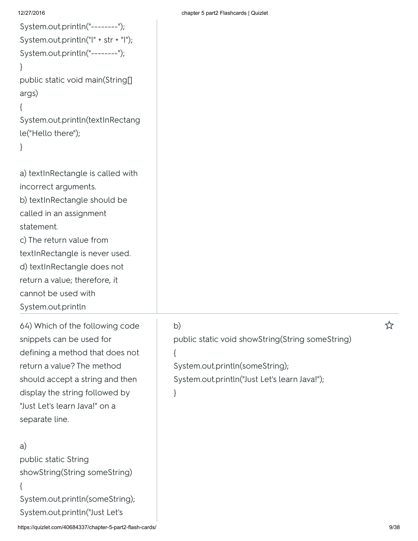| System.out.println("--------");      |
|--------------------------------------|
| System.out.println(" " + str + " "); |
| System.out.println("--------");      |
|                                      |
| public static void main(String[]     |
| args)                                |
| ſ                                    |
| System.out.println(textInRectang     |
| le("Hello there");                   |
| ł                                    |
|                                      |
| a) textInRectangle is called with    |
| incorrect arguments.                 |

b) textInRectangle should be

called in an assignment statement.

c) The return value from textInRectangle is never used.

d) textInRectangle does not

return a value; therefore, it

cannot be used with

System.out.println

64) Which of the following code snippets can be used for defining a method that does not return a value? The method should accept a string and then display the string followed by "Just Let's learn Java!" on a separate line.

## a)

public static String showString(String someString) { System.out.println(someString); System.out.println("Just Let's

## b) the contract of  $\mathcal{L}$

public static void showString(String someString) {

System.out.println(someString);

System.out.println("Just Let's learn Java!");

## }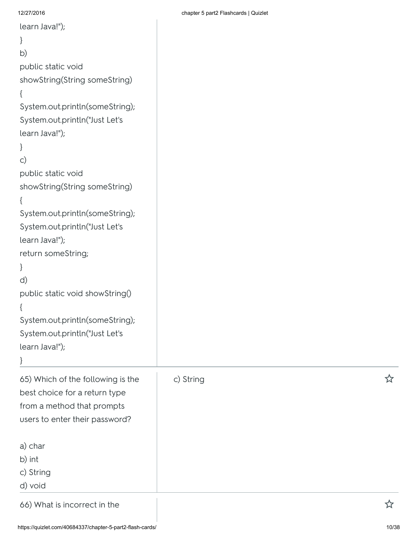| learn Java!");                    |  |
|-----------------------------------|--|
| }                                 |  |
| b)                                |  |
| public static void                |  |
| showString(String someString)     |  |
| {                                 |  |
| System.out.println(someString);   |  |
| System.out.println("Just Let's    |  |
| learn Java!");                    |  |
| }                                 |  |
| c)                                |  |
| public static void                |  |
| showString(String someString)     |  |
| {                                 |  |
| System.out.println(someString);   |  |
| System.out.println("Just Let's    |  |
| learn Java!");                    |  |
| return someString;                |  |
| ł                                 |  |
| d)                                |  |
| public static void showString()   |  |
| {                                 |  |
| System.out.println(someString);   |  |
| System.out.println("Just Let's    |  |
| learn Java!");                    |  |
| }                                 |  |
| 65) Which of the following is the |  |
| best choice for a return type     |  |
| from a method that prompts        |  |

| learn Java!");                                            |           |       |
|-----------------------------------------------------------|-----------|-------|
| $\}$                                                      |           |       |
| $\mathsf{C}$                                              |           |       |
| public static void                                        |           |       |
| showString(String someString)                             |           |       |
| $\{$                                                      |           |       |
| System.out.println(someString);                           |           |       |
| System.out.println("Just Let's                            |           |       |
| learn Java!");                                            |           |       |
| return someString;                                        |           |       |
| $\}$                                                      |           |       |
| d)                                                        |           |       |
| public static void showString()                           |           |       |
| ₹                                                         |           |       |
| System.out.println(someString);                           |           |       |
| System.out.println("Just Let's                            |           |       |
| learn Java!");                                            |           |       |
|                                                           |           |       |
| 65) Which of the following is the                         | c) String | ☆     |
| best choice for a return type                             |           |       |
| from a method that prompts                                |           |       |
| users to enter their password?                            |           |       |
|                                                           |           |       |
| a) char                                                   |           |       |
| b) int                                                    |           |       |
| c) String                                                 |           |       |
| d) void                                                   |           |       |
| 66) What is incorrect in the                              |           | ☆     |
| https://quizlet.com/40684337/chapter-5-part2-flash-cards/ |           | 10/38 |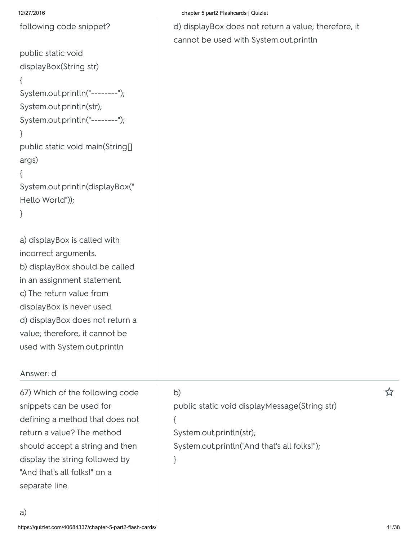following code snippet?

```
public static void
displayBox(String str)
{
System.out.println("--------");
System.out.println(str);
System.out.println("--------");
}
public static void main(String[]
args)
{
System.out.println(displayBox("
Hello World"));
}
```
a) displayBox is called with incorrect arguments. b) displayBox should be called in an assignment statement. c) The return value from displayBox is never used. d) displayBox does not return a value; therefore, it cannot be used with System.out.println

## Answer: d

a)

67) Which of the following code snippets can be used for defining a method that does not return a value? The method should accept a string and then display the string followed by "And that's all folks!" on a separate line.

}

# b) the contract of  $\mathcal{L}$ public static void displayMessage(String str) { System.out.println(str); System.out.println("And that's all folks!");

12/27/2016 chapter 5 part2 Flashcards | Quizlet

d) displayBox does not return a value; therefore, it cannot be used with System.out.println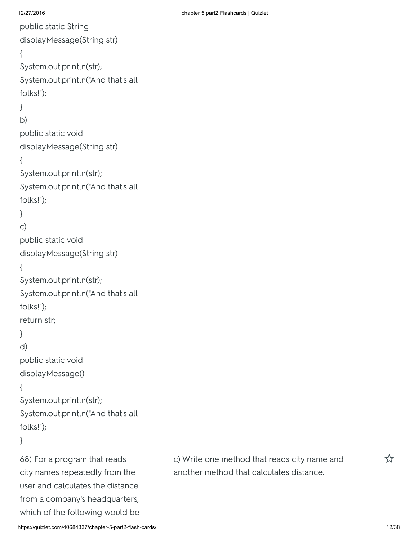```
public static String
displayMessage(String str)
{
System.out.println(str);
System.out.println("And that's all
folks!");
}
b)
public static void
displayMessage(String str)
{
System.out.println(str);
System.out.println("And that's all
folks!");
}
c)
public static void
displayMessage(String str)
{
System.out.println(str);
System.out.println("And that's all
folks!");
return str;
}
d)
public static void
displayMessage()
{
System.out.println(str);
System.out.println("And that's all
folks!");
```

```
}
```
68) For a program that reads city names repeatedly from the user and calculates the distance from a company's headquarters, which of the following would be

12/27/2016 chapter 5 part2 Flashcards | Quizlet

c) Write one method that reads city name and  $\hat{X}$ another method that calculates distance.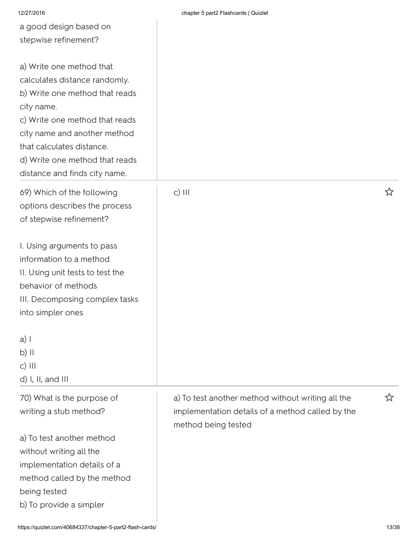| 12/27/2016                                                                                  | chapter 5 part2 Flashcards   Quizlet              |   |
|---------------------------------------------------------------------------------------------|---------------------------------------------------|---|
| a good design based on                                                                      |                                                   |   |
| stepwise refinement?                                                                        |                                                   |   |
| a) Write one method that<br>calculates distance randomly.<br>b) Write one method that reads |                                                   |   |
| city name.                                                                                  |                                                   |   |
| c) Write one method that reads                                                              |                                                   |   |
| city name and another method                                                                |                                                   |   |
| that calculates distance.                                                                   |                                                   |   |
| d) Write one method that reads                                                              |                                                   |   |
| distance and finds city name.                                                               |                                                   |   |
| 69) Which of the following                                                                  | $c)$ III                                          | ☆ |
| options describes the process                                                               |                                                   |   |
| of stepwise refinement?                                                                     |                                                   |   |
| I. Using arguments to pass                                                                  |                                                   |   |
| information to a method                                                                     |                                                   |   |
| II. Using unit tests to test the                                                            |                                                   |   |
| behavior of methods                                                                         |                                                   |   |
| III. Decomposing complex tasks                                                              |                                                   |   |
| into simpler ones                                                                           |                                                   |   |
| $a)$                                                                                        |                                                   |   |
| b) II                                                                                       |                                                   |   |
| $c)$ III                                                                                    |                                                   |   |
| d) I, II, and III                                                                           |                                                   |   |
| 70) What is the purpose of                                                                  | a) To test another method without writing all the | ☆ |
| writing a stub method?                                                                      | implementation details of a method called by the  |   |
|                                                                                             | method being tested                               |   |
| a) To test another method                                                                   |                                                   |   |
| without writing all the                                                                     |                                                   |   |
| implementation details of a                                                                 |                                                   |   |
| method called by the method                                                                 |                                                   |   |
| being tested                                                                                |                                                   |   |
| b) To provide a simpler                                                                     |                                                   |   |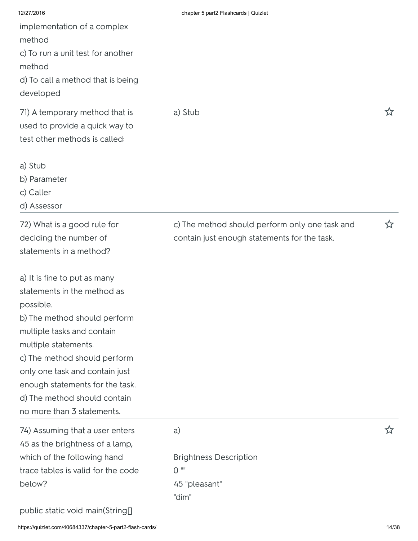| 12/27/2016                         | chapter 5 part2 Flashcards   Quizlet           |   |
|------------------------------------|------------------------------------------------|---|
| implementation of a complex        |                                                |   |
| method                             |                                                |   |
| c) To run a unit test for another  |                                                |   |
| method                             |                                                |   |
| d) To call a method that is being  |                                                |   |
| developed                          |                                                |   |
| 71) A temporary method that is     | a) Stub                                        | ☆ |
| used to provide a quick way to     |                                                |   |
| test other methods is called:      |                                                |   |
|                                    |                                                |   |
| a) Stub                            |                                                |   |
| b) Parameter                       |                                                |   |
| c) Caller                          |                                                |   |
| d) Assessor                        |                                                |   |
| 72) What is a good rule for        | c) The method should perform only one task and | ☆ |
| deciding the number of             | contain just enough statements for the task.   |   |
| statements in a method?            |                                                |   |
|                                    |                                                |   |
| a) It is fine to put as many       |                                                |   |
| statements in the method as        |                                                |   |
| possible.                          |                                                |   |
| b) The method should perform       |                                                |   |
| multiple tasks and contain         |                                                |   |
| multiple statements.               |                                                |   |
| c) The method should perform       |                                                |   |
| only one task and contain just     |                                                |   |
| enough statements for the task.    |                                                |   |
| d) The method should contain       |                                                |   |
| no more than 3 statements.         |                                                |   |
| 74) Assuming that a user enters    | a)                                             | ☆ |
| 45 as the brightness of a lamp,    |                                                |   |
| which of the following hand        | <b>Brightness Description</b>                  |   |
| trace tables is valid for the code | $0$ ""                                         |   |
| below?                             | 45 "pleasant"                                  |   |
|                                    | "dim"                                          |   |
| public static void main(String[]   |                                                |   |
|                                    |                                                |   |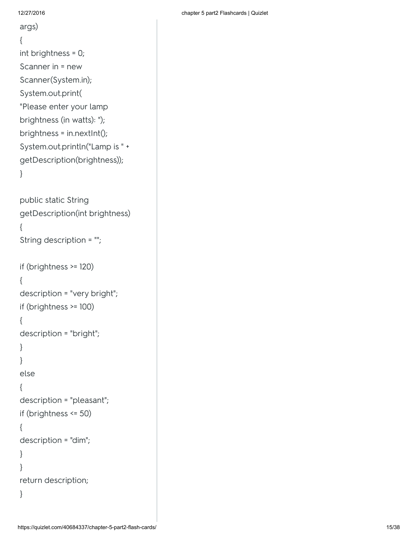```
args)
{
int brightness = 0;
Scanner in = new
Scanner(System.in);
System.out.print(
"Please enter your lamp
brightness (in watts): ");
brightness = in.nextInt();
System.out.println("Lamp is " +
getDescription(brightness));
}
```

```
public static String
getDescription(int brightness)
{
String description = "";
if (brightness >= 120)
{
description = "very bright";
if (brightness >= 100)
{
description = "bright";
}
}
else
{
description = "pleasant";
if (brightness <= 50)
{
description = "dim";
}
}
return description;
}
```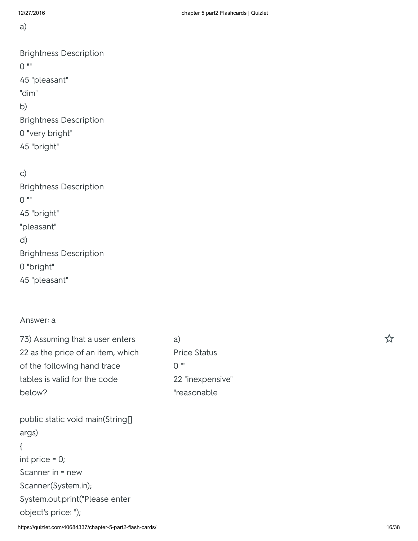| ,,,,,,,,,,                                                                                                                                                              | $\frac{1}{2}$ original $\frac{1}{2}$ parts in identicated in the sensitivity      |   |
|-------------------------------------------------------------------------------------------------------------------------------------------------------------------------|-----------------------------------------------------------------------------------|---|
| a)                                                                                                                                                                      |                                                                                   |   |
| <b>Brightness Description</b><br>$0$ ""<br>45 "pleasant"<br>"dim"<br>b)<br><b>Brightness Description</b><br>0 "very bright"<br>45 "bright"                              |                                                                                   |   |
| $\mathsf{C}$<br><b>Brightness Description</b><br>$0$ ""<br>45 "bright"<br>"pleasant"<br>d)<br><b>Brightness Description</b><br>0 "bright"<br>45 "pleasant"              |                                                                                   |   |
| Answer: a                                                                                                                                                               |                                                                                   |   |
| 73) Assuming that a user enters<br>22 as the price of an item, which<br>of the following hand trace<br>tables is valid for the code<br>below?                           | a)<br><b>Price Status</b><br>$0$ $^{\rm{iii}}$<br>22 "inexpensive"<br>"reasonable | ☆ |
| public static void main(String[]<br>args)<br>{<br>int price $= 0$ ;<br>Scanner in = new<br>Scanner(System.in);<br>System.out.print("Please enter<br>object's price: "); |                                                                                   |   |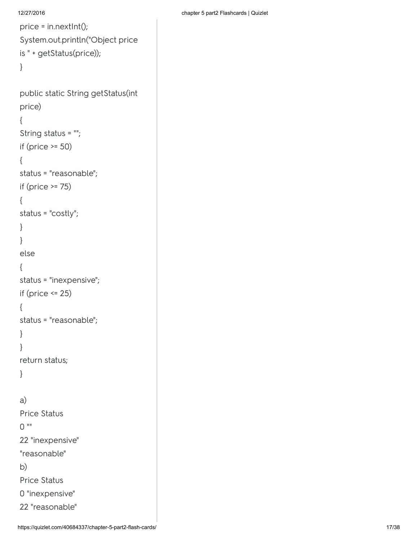```
12/27/2016 chapter 5 part2 Flashcards | Quizlet
```

```
price = in.nextInt();
System.out.println("Object price
is " + getStatus(price));
}
public static String getStatus(int
price)
{
String status = "";
if (price >= 50)
{
status = "reasonable";
if (price >= 75)
{
status = "costly";
}
}
else
{
status = "inexpensive";
if (price <= 25)
{
status = "reasonable";
}
}
return status;
}
a)
Price Status
0 ""
22 "inexpensive"
"reasonable"
b)
```
Price Status

0 "inexpensive"

22 "reasonable"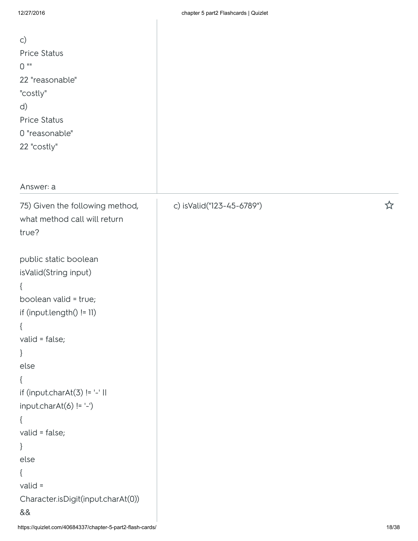| $\mathsf{C}$<br>Price Status<br>$0$ ""<br>22 "reasonable"<br>"costly"<br>d)<br>Price Status<br>0 "reasonable"<br>22 "costly" |                           |   |
|------------------------------------------------------------------------------------------------------------------------------|---------------------------|---|
| Answer: a                                                                                                                    |                           |   |
| 75) Given the following method,<br>what method call will return<br>true?                                                     | c) isValid("123-45-6789") | ☆ |
| public static boolean<br>isValid(String input)                                                                               |                           |   |
| €                                                                                                                            |                           |   |
| boolean valid = true;                                                                                                        |                           |   |
| if $(input.length() != 11)$                                                                                                  |                           |   |
| ί                                                                                                                            |                           |   |
| valid = false;<br>}                                                                                                          |                           |   |
| else                                                                                                                         |                           |   |
| {                                                                                                                            |                           |   |
| if (input.charAt(3) != '-'                                                                                                   |                           |   |
| $input.charAt(6) != '-)$                                                                                                     |                           |   |
| $\{$<br>valid = false;                                                                                                       |                           |   |
| }                                                                                                                            |                           |   |
| else                                                                                                                         |                           |   |
| {                                                                                                                            |                           |   |
| $valid =$                                                                                                                    |                           |   |
| Character.isDigit(input.charAt(0))<br>&&                                                                                     |                           |   |
|                                                                                                                              |                           |   |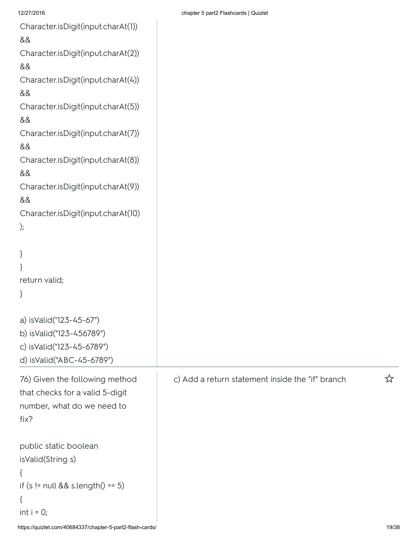Character.isDigit(input.charAt(1))

```
&&
```
Character.isDigit(input.charAt(2))

&&

Character.isDigit(input.charAt(4))

&&

Character.isDigit(input.charAt(5))

&&

Character.isDigit(input.charAt(7))

&&

Character.isDigit(input.charAt(8))

&&

Character.isDigit(input.charAt(9))

&&

```
Character.isDigit(input.charAt(10)
```
);

```
}
}
return valid;
```
}

```
a) isValid("123-45-67")
b) isValid("123-456789")
c) isValid("123-45-6789")
```
d) isValid("ABC-45-6789")

```
76) Given the following method
that checks for a valid 5-digit
number, what do we need to
fix?
public static boolean
```

```
isValid(String s)
```

```
{
```

```
if (s = null & 8 \text{ s.length}() == 5)
```

```
{
```

```
int i = 0;
```
c) Add <sup>a</sup> return statement inside the "if" branch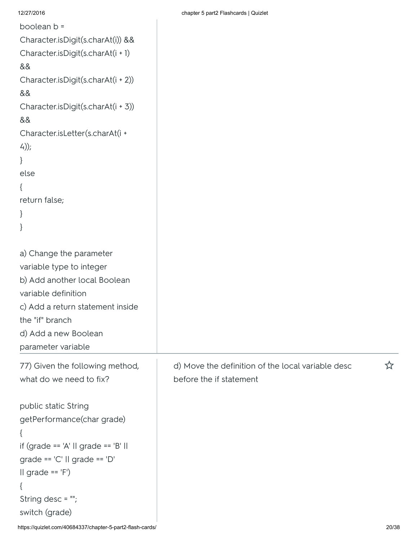|                                                           | $\frac{1}{2}$ . $\frac{1}{2}$ . $\frac{1}{2}$ . $\frac{1}{2}$ . $\frac{1}{2}$ . $\frac{1}{2}$ . $\frac{1}{2}$ . $\frac{1}{2}$ . |       |
|-----------------------------------------------------------|---------------------------------------------------------------------------------------------------------------------------------|-------|
| boolean b =                                               |                                                                                                                                 |       |
| Character.isDigit(s.charAt(i)) &&                         |                                                                                                                                 |       |
| Character.isDigit(s.charAt(i + 1)                         |                                                                                                                                 |       |
| &&                                                        |                                                                                                                                 |       |
| Character.isDigit(s.charAt(i + 2))                        |                                                                                                                                 |       |
| &&                                                        |                                                                                                                                 |       |
| Character.isDigit(s.charAt(i + 3))                        |                                                                                                                                 |       |
| &&                                                        |                                                                                                                                 |       |
| Character.isLetter(s.charAt(i +                           |                                                                                                                                 |       |
| $4$ ));                                                   |                                                                                                                                 |       |
| $\}$                                                      |                                                                                                                                 |       |
| else                                                      |                                                                                                                                 |       |
| $\{$                                                      |                                                                                                                                 |       |
| return false;                                             |                                                                                                                                 |       |
| $\}$                                                      |                                                                                                                                 |       |
| }                                                         |                                                                                                                                 |       |
|                                                           |                                                                                                                                 |       |
| a) Change the parameter                                   |                                                                                                                                 |       |
| variable type to integer                                  |                                                                                                                                 |       |
| b) Add another local Boolean                              |                                                                                                                                 |       |
| variable definition                                       |                                                                                                                                 |       |
| c) Add a return statement inside                          |                                                                                                                                 |       |
| the "if" branch                                           |                                                                                                                                 |       |
| d) Add a new Boolean                                      |                                                                                                                                 |       |
| parameter variable                                        |                                                                                                                                 |       |
| 77) Given the following method,                           | d) Move the definition of the local variable desc                                                                               | ☆     |
| what do we need to fix?                                   | before the if statement                                                                                                         |       |
|                                                           |                                                                                                                                 |       |
| public static String                                      |                                                                                                                                 |       |
| getPerformance(char grade)                                |                                                                                                                                 |       |
|                                                           |                                                                                                                                 |       |
| if (grade == 'A' $\parallel$ grade == 'B' $\parallel$     |                                                                                                                                 |       |
| grade == $'C'$    grade == $'D'$                          |                                                                                                                                 |       |
| $II$ grade == $'F'$ )                                     |                                                                                                                                 |       |
| $\mathcal{L}$                                             |                                                                                                                                 |       |
| String desc = "";                                         |                                                                                                                                 |       |
| switch (grade)                                            |                                                                                                                                 |       |
| https://quizlet.com/40684337/chapter-5-part2-flash-cards/ |                                                                                                                                 | 20/38 |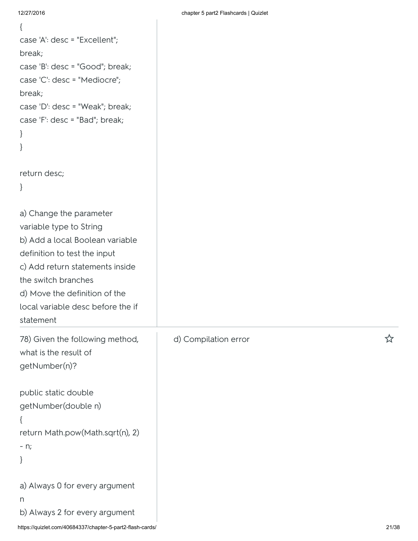```
{
case 'A': desc = "Excellent";
break;
case 'B': desc = "Good"; break;
case 'C': desc = "Mediocre";
break;
case 'D': desc = "Weak"; break;
case 'F': desc = "Bad"; break;
}
}
return desc;
}
a) Change the parameter
variable type to String
b) Add a local Boolean variable
definition to test the input
c) Add return statements inside
the switch branches
d) Move the definition of the
local variable desc before the if
statement
78) Given the following method,
what is the result of
getNumber(n)?
public static double
getNumber(double n)
{
return Math.pow(Math.sqrt(n), 2)
- n;
}
```
b) Always 2 for every argument

d) Compilation error <br> **A**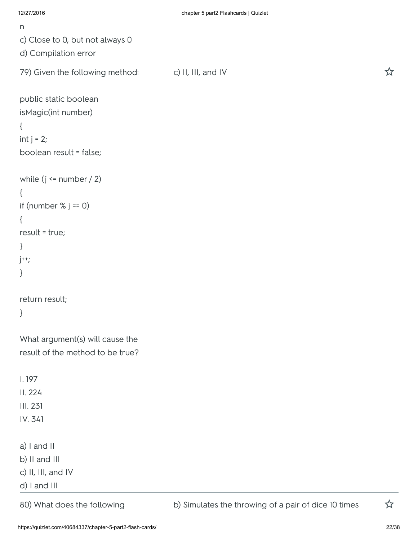| 12/27/2016                       | chapter 5 part2 Flashcards   Quizlet                 |   |
|----------------------------------|------------------------------------------------------|---|
| n                                |                                                      |   |
| c) Close to 0, but not always 0  |                                                      |   |
| d) Compilation error             |                                                      |   |
| 79) Given the following method:  | c) II, III, and IV                                   | ☆ |
| public static boolean            |                                                      |   |
| isMagic(int number)              |                                                      |   |
| $\{$                             |                                                      |   |
| int $j = 2$ ;                    |                                                      |   |
| boolean result = false;          |                                                      |   |
| while $(j \leq number / 2)$      |                                                      |   |
| $\{$                             |                                                      |   |
| if (number $% j == 0$ )          |                                                      |   |
| $\{$                             |                                                      |   |
| $result = true;$                 |                                                      |   |
| $\}$                             |                                                      |   |
| $j++$ ;                          |                                                      |   |
| $\}$                             |                                                      |   |
| return result;                   |                                                      |   |
| $\}$                             |                                                      |   |
| What argument(s) will cause the  |                                                      |   |
| result of the method to be true? |                                                      |   |
| 1.197                            |                                                      |   |
| II. 224                          |                                                      |   |
| III. 231                         |                                                      |   |
| IV. 341                          |                                                      |   |
| a) I and II                      |                                                      |   |
| b) II and III                    |                                                      |   |
| c) II, III, and IV               |                                                      |   |
| d) I and III                     |                                                      |   |
| 80) What does the following      | b) Simulates the throwing of a pair of dice 10 times | ☆ |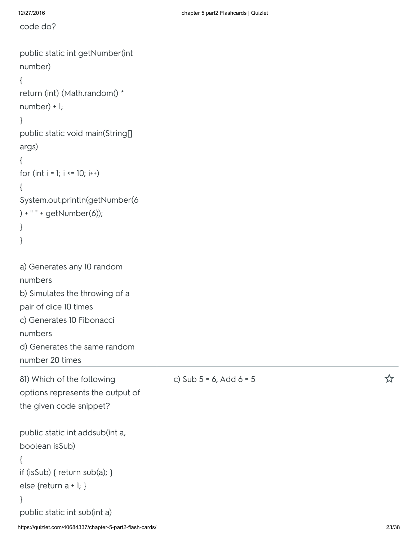| 12/27/2016                                                                                                                                                                                                                                   | chapter 5 part2 Flashcards   Quizlet |       |
|----------------------------------------------------------------------------------------------------------------------------------------------------------------------------------------------------------------------------------------------|--------------------------------------|-------|
| code do?                                                                                                                                                                                                                                     |                                      |       |
| public static int getNumber(int<br>number)<br>return (int) (Math.random() *<br>$number) + 1;$<br>public static void main(String[]<br>args)<br>for $(int i = 1; i \le 10; i++)$<br>System.out.println(getNumber(6<br>) + " " + getNumber(6)); |                                      |       |
| a) Generates any 10 random<br>numbers<br>b) Simulates the throwing of a<br>pair of dice 10 times<br>c) Generates 10 Fibonacci<br>numbers<br>d) Generates the same random<br>number 20 times                                                  |                                      |       |
| 81) Which of the following<br>options represents the output of<br>the given code snippet?<br>public static int addsub(int a,                                                                                                                 | c) Sub $5 = 6$ , Add $6 = 5$         | ኢን    |
| boolean isSub)<br>if (isSub) { return sub(a); }<br>else $\{$ return a + 1; $\}$<br>public static int sub(int a)<br>https://quizlet.com/40684337/chapter-5-part2-flash-cards/                                                                 |                                      | 23/38 |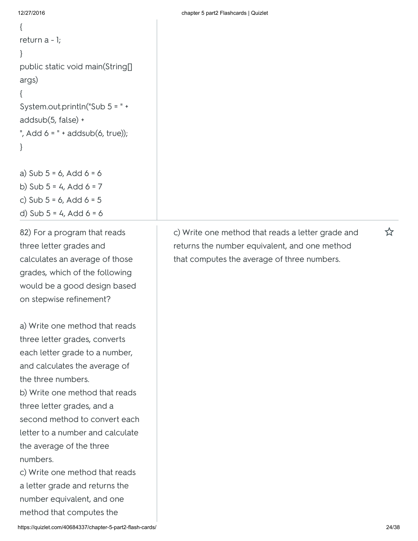```
{
return a - 1;
}
public static void main(String[]
args)
{
System.out.println("Sub 5 = " +
addsub(5, false) +
", Add 6 = " + addsub(6, true));
}
a) Sub 5 = 6, Add 6 = 6
```

```
b) Sub 5 = 4, Add 6 = 7c) Sub 5 = 6, Add 6 = 5d) Sub 5 = 4, Add 6 = 6
```
82) For a program that reads three letter grades and calculates an average of those grades, which of the following would be a good design based on stepwise refinement?

a) Write one method that reads three letter grades, converts each letter grade to a number, and calculates the average of the three numbers.

b) Write one method that reads three letter grades, and a second method to convert each letter to a number and calculate the average of the three numbers.

c) Write one method that reads a letter grade and returns the number equivalent, and one method that computes the

c) Write one method that reads a letter grade and  $\hat{X}$ returns the number equivalent, and one method that computes the average of three numbers.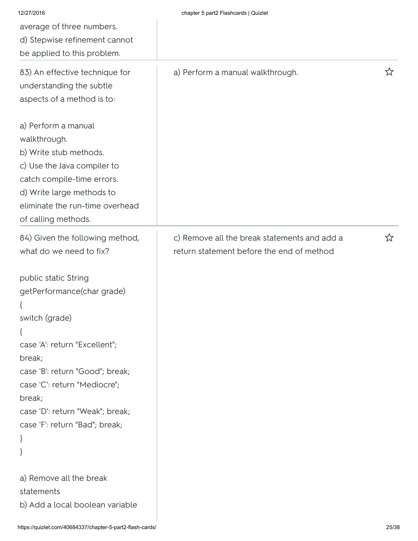| 12/27/2016<br>average of three numbers.<br>d) Stepwise refinement cannot<br>be applied to this problem.                                                                                                                                                                                                                                                          | chapter 5 part2 Flashcards   Quizlet                                                      |   |
|------------------------------------------------------------------------------------------------------------------------------------------------------------------------------------------------------------------------------------------------------------------------------------------------------------------------------------------------------------------|-------------------------------------------------------------------------------------------|---|
| 83) An effective technique for<br>understanding the subtle<br>aspects of a method is to:                                                                                                                                                                                                                                                                         | a) Perform a manual walkthrough.                                                          | ☆ |
| a) Perform a manual<br>walkthrough.<br>b) Write stub methods.<br>c) Use the Java compiler to<br>catch compile-time errors.<br>d) Write large methods to<br>eliminate the run-time overhead<br>of calling methods.                                                                                                                                                |                                                                                           |   |
| 84) Given the following method,<br>what do we need to fix?<br>public static String<br>getPerformance(char grade)<br>switch (grade)<br>$\mathcal{L}$<br>case 'A': return "Excellent";<br>break;<br>case 'B': return "Good"; break;<br>case 'C': return "Mediocre";<br>break;<br>case 'D': return "Weak"; break;<br>case 'F': return "Bad"; break;<br>$\}$<br>$\}$ | c) Remove all the break statements and add a<br>return statement before the end of method | ☆ |
| a) Remove all the break<br>statements<br>b) Add a local boolean variable                                                                                                                                                                                                                                                                                         |                                                                                           |   |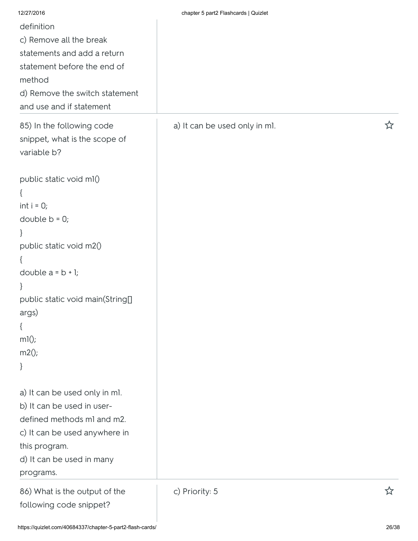| 12/27/2016                       | chapter 5 part2 Flashcards   Quizlet |   |
|----------------------------------|--------------------------------------|---|
| definition                       |                                      |   |
| c) Remove all the break          |                                      |   |
| statements and add a return      |                                      |   |
| statement before the end of      |                                      |   |
| method                           |                                      |   |
| d) Remove the switch statement   |                                      |   |
| and use and if statement         |                                      |   |
| 85) In the following code        | a) It can be used only in ml.        | ☆ |
| snippet, what is the scope of    |                                      |   |
| variable b?                      |                                      |   |
| public static void ml()          |                                      |   |
| $\{$                             |                                      |   |
| $int i = 0;$                     |                                      |   |
| double $b = 0$ ;                 |                                      |   |
| }                                |                                      |   |
| public static void m2()          |                                      |   |
| ₹                                |                                      |   |
| double $a = b + 1$ ;             |                                      |   |
| }                                |                                      |   |
| public static void main(String[] |                                      |   |
| args)                            |                                      |   |
| $\{$                             |                                      |   |
| ml();                            |                                      |   |
| m2();                            |                                      |   |
| }                                |                                      |   |
| a) It can be used only in ml.    |                                      |   |
| b) It can be used in user-       |                                      |   |
| defined methods ml and m2.       |                                      |   |
| c) It can be used anywhere in    |                                      |   |
| this program.                    |                                      |   |
| d) It can be used in many        |                                      |   |
| programs.                        |                                      |   |
| 86) What is the output of the    | c) Priority: 5                       | ☆ |
| following code snippet?          |                                      |   |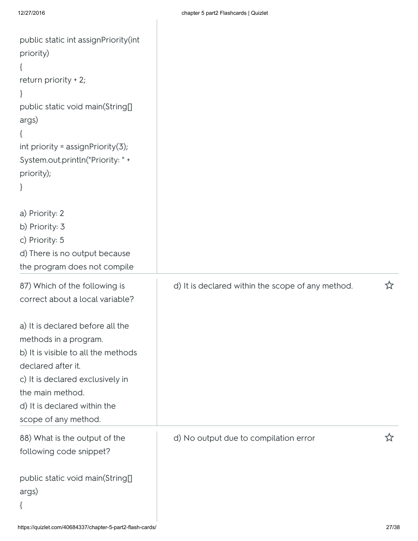| public static int assignPriority(int<br>priority)<br>return priority + 2;<br>$\mathbf{r}$<br>public static void main(String[]<br>args)<br>int priority = $assignmentivity(3)$ ;<br>System.out.println("Priority: " +<br>priority);     |                                                   |   |
|----------------------------------------------------------------------------------------------------------------------------------------------------------------------------------------------------------------------------------------|---------------------------------------------------|---|
| a) Priority: 2<br>b) Priority: 3<br>c) Priority: 5<br>d) There is no output because<br>the program does not compile                                                                                                                    |                                                   |   |
| 87) Which of the following is<br>correct about a local variable?                                                                                                                                                                       | d) It is declared within the scope of any method. | ☆ |
| a) It is declared before all the<br>methods in a program.<br>b) It is visible to all the methods<br>declared after it.<br>c) It is declared exclusively in<br>the main method.<br>d) It is declared within the<br>scope of any method. |                                                   |   |
| 88) What is the output of the<br>following code snippet?                                                                                                                                                                               | d) No output due to compilation error             |   |
| public static void main(String[]<br>args)                                                                                                                                                                                              |                                                   |   |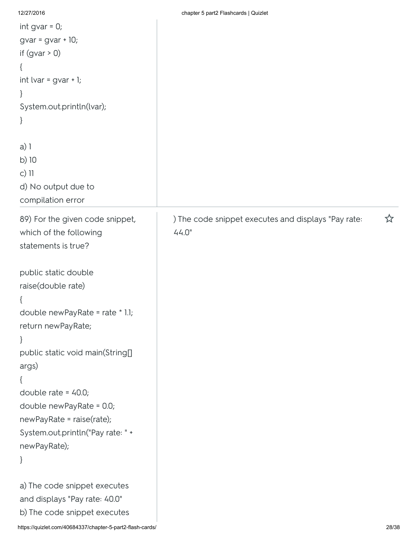| 12/27/2016                                | chapter 5 part2 Flashcards   Quizlet                |   |
|-------------------------------------------|-----------------------------------------------------|---|
| int gvar $= 0$ ;                          |                                                     |   |
| $gvar = gvar + 10;$                       |                                                     |   |
| if $(gvar > 0)$                           |                                                     |   |
| $\{$                                      |                                                     |   |
| int lvar = $gvar + I;$                    |                                                     |   |
| }                                         |                                                     |   |
| System.out.println(lvar);                 |                                                     |   |
| $\}$                                      |                                                     |   |
| $a)$ ]                                    |                                                     |   |
| b) 10                                     |                                                     |   |
| c) 11                                     |                                                     |   |
| d) No output due to                       |                                                     |   |
| compilation error                         |                                                     |   |
| 89) For the given code snippet,           | ) The code snippet executes and displays "Pay rate: | ☆ |
| which of the following                    | 44.0"                                               |   |
| statements is true?                       |                                                     |   |
|                                           |                                                     |   |
| public static double                      |                                                     |   |
| raise(double rate)                        |                                                     |   |
| $\mathcal{L}_{\mathcal{L}_{\mathcal{L}}}$ |                                                     |   |
| double newPayRate = rate * 1.1;           |                                                     |   |
| return newPayRate;                        |                                                     |   |
| $\}$                                      |                                                     |   |
| public static void main(String[]          |                                                     |   |
| args)                                     |                                                     |   |
| $\{$                                      |                                                     |   |
| double rate = $40.0$ ;                    |                                                     |   |
| double newPayRate = 0.0;                  |                                                     |   |
| newPayRate = raise(rate);                 |                                                     |   |
| System.out.println("Pay rate: " +         |                                                     |   |
| newPayRate);                              |                                                     |   |
| }                                         |                                                     |   |
| a) The code snippet executes              |                                                     |   |
| and displays "Pay rate: 40.0"             |                                                     |   |
| b) The code snippet executes              |                                                     |   |
|                                           |                                                     |   |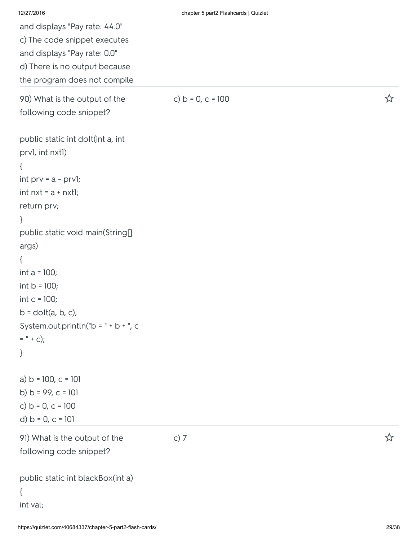| 12/27/2016                                               | chapter 5 part2 Flashcards   Quizlet |   |
|----------------------------------------------------------|--------------------------------------|---|
| and displays "Pay rate: 44.0"                            |                                      |   |
| c) The code snippet executes                             |                                      |   |
| and displays "Pay rate: 0.0"                             |                                      |   |
| d) There is no output because                            |                                      |   |
| the program does not compile                             |                                      |   |
| 90) What is the output of the<br>following code snippet? | c) $b = 0, c = 100$                  | ☆ |
|                                                          |                                      |   |
| public static int dolt(int a, int                        |                                      |   |
| prvl, int nxtl)                                          |                                      |   |
| $\{$                                                     |                                      |   |
| int $prv = a - prv$ ];                                   |                                      |   |
| int $nxt = a + nxti;$                                    |                                      |   |
| return prv;                                              |                                      |   |
| $\}$                                                     |                                      |   |
| public static void main(String[]                         |                                      |   |
| args)                                                    |                                      |   |
| $\{$                                                     |                                      |   |
| int $a = 100$ ;                                          |                                      |   |
| int $b = 100$ ;                                          |                                      |   |
| int $c = 100$ ;                                          |                                      |   |
| $b =$ dolt $(a, b, c)$ ;                                 |                                      |   |
| System.out.println("b = " + b + ", c                     |                                      |   |
| $=$ " + c);                                              |                                      |   |
| $\}$                                                     |                                      |   |
| a) $b = 100$ , $c = 101$                                 |                                      |   |
| b) $b = 99$ , $c = 101$                                  |                                      |   |
| c) $b = 0, c = 100$                                      |                                      |   |
| d) $b = 0, c = 101$                                      |                                      |   |
| 91) What is the output of the                            | c) $7$                               | ☆ |
| following code snippet?                                  |                                      |   |
|                                                          |                                      |   |
| public static int blackBox(int a)                        |                                      |   |
| $\{$                                                     |                                      |   |
| int val;                                                 |                                      |   |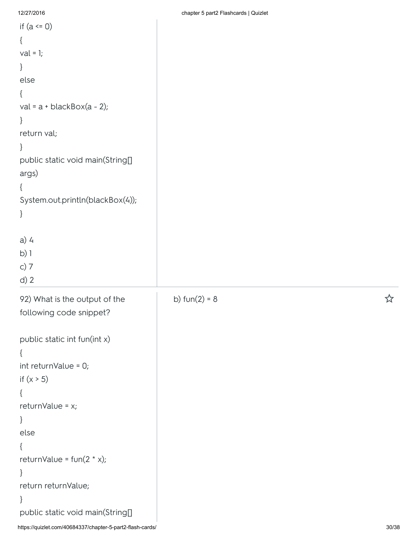| if $(a \le 0)$                   |                 |   |
|----------------------------------|-----------------|---|
| $\{$                             |                 |   |
| $val = 1;$                       |                 |   |
| $\}$                             |                 |   |
| else                             |                 |   |
| €                                |                 |   |
| val = $a + blackBox(a - 2)$ ;    |                 |   |
| $\}$                             |                 |   |
| return val;                      |                 |   |
| }                                |                 |   |
| public static void main(String[] |                 |   |
| args)                            |                 |   |
| ₹                                |                 |   |
| System.out.println(blackBox(4)); |                 |   |
| $\}$                             |                 |   |
|                                  |                 |   |
| $a)$ 4                           |                 |   |
| $b)$ ]                           |                 |   |
| c) $7$                           |                 |   |
| $d)$ 2                           |                 |   |
| 92) What is the output of the    | b) $fun(2) = 8$ | ☆ |
| following code snippet?          |                 |   |
|                                  |                 |   |
| public static int fun(int x)     |                 |   |
|                                  |                 |   |
| int returnValue = 0;             |                 |   |
| if $(x > 5)$                     |                 |   |
|                                  |                 |   |
| returnValue = x;                 |                 |   |
| }                                |                 |   |
| else                             |                 |   |
|                                  |                 |   |
| returnValue = $fun(2 * x);$      |                 |   |
| $\}$                             |                 |   |
| return returnValue;              |                 |   |
| $\}$                             |                 |   |
| public static void main(String[] |                 |   |
|                                  |                 |   |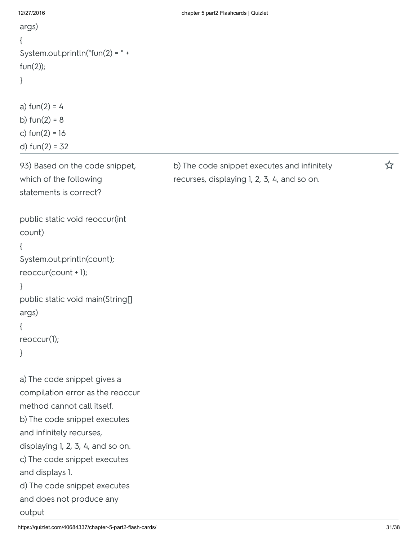| args)<br>{<br>System.out.println("fun(2) = $" +$<br>$fun(2))$ ;<br>}<br>a) $fun(2) = 4$<br>b) $fun(2) = 8$<br>c) $fun(2) = 16$<br>d) $fun(2) = 32$                                                                                                                                                                      |                                                                                            |   |
|-------------------------------------------------------------------------------------------------------------------------------------------------------------------------------------------------------------------------------------------------------------------------------------------------------------------------|--------------------------------------------------------------------------------------------|---|
| 93) Based on the code snippet,<br>which of the following<br>statements is correct?                                                                                                                                                                                                                                      | b) The code snippet executes and infinitely<br>recurses, displaying 1, 2, 3, 4, and so on. | ☆ |
| public static void reoccur(int<br>count)<br>{<br>System.out.println(count);<br>$reoccur(count + 1);$<br>}<br>public static void main(String[]<br>args)<br>$\{$<br>reoccur(1);<br>}                                                                                                                                      |                                                                                            |   |
| a) The code snippet gives a<br>compilation error as the reoccur<br>method cannot call itself.<br>b) The code snippet executes<br>and infinitely recurses,<br>displaying 1, 2, 3, 4, and so on.<br>c) The code snippet executes<br>and displays 1.<br>d) The code snippet executes<br>and does not produce any<br>output |                                                                                            |   |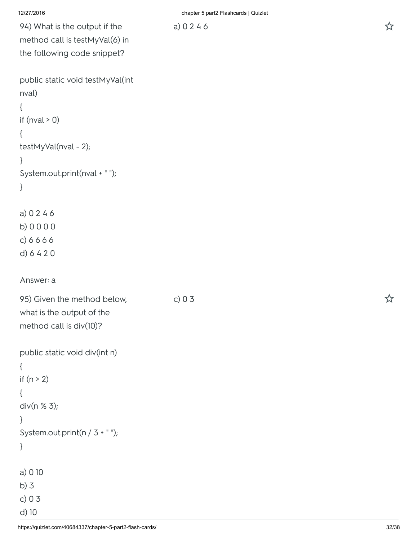|  |  |  | 12/27/2016 |
|--|--|--|------------|

chapter 5 part2 Flashcards | Quizlet

| 94) What is the output if the     |
|-----------------------------------|
| method call is testMyVal(6) in    |
| the following code snippet?       |
|                                   |
| public static void testMyVal(int  |
| nval)                             |
| {                                 |
| if (nval $> 0$ )                  |
| {                                 |
| testMyVal(nval - 2);              |
| }                                 |
| System.out.print(nval + " ");     |
| }                                 |
| a) 0 2 4 6                        |
| b) 0 0 0 0                        |
| c) 6 6 6 6                        |
| d) 6 4 2 0                        |
|                                   |
|                                   |
| Answer: a                         |
| 95) Given the method below,       |
| what is the output of the         |
| method call is $div(10)$ ?        |
|                                   |
| public static void div(int n)     |
| ſ                                 |
| if $(n > 2)$                      |
| $\{$                              |
| div(n % 3);                       |
| }                                 |
| System.out.print( $n / 3 + "$ "); |
| }                                 |
| a) 0 10                           |
| b)3                               |
| c) $03$                           |
| d) 10                             |

https://quizlet.com/40684337/chapter-5-part2-flash-cards/ 32/38 c) 0 3 <del>△</del>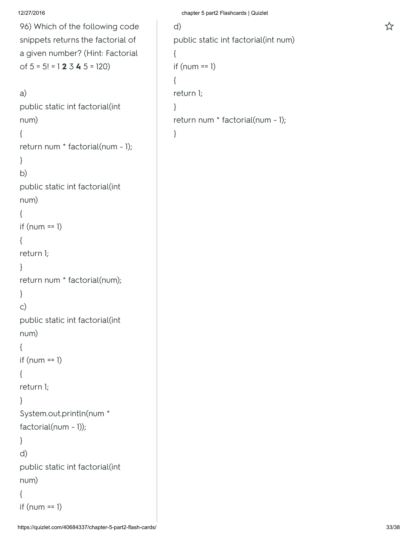```
96) Which of the following code
snippets returns the factorial of
a given number? (Hint: Factorial
of 5 = 5! = 123.45 = 120
```

```
a)
public static int factorial(int
num)
{
return num * factorial(num - 1);
}
b)
public static int factorial(int
num)
{
if(num == 1){
return 1;
}
return num * factorial(num);
}
c)
public static int factorial(int
num)
{
if (num == 1){
return 1;
}
System.out.println(num *
factorial(num - 1));
}
d)
public static int factorial(int
num)
{
if (num == 1)
```

```
12/27/2016 chapter 5 part2 Flashcards | Quizlet
```

```
d) 
public static int factorial(int num)
{
if (num == 1)
{
return 1;
}
return num * factorial(num - 1);
}
```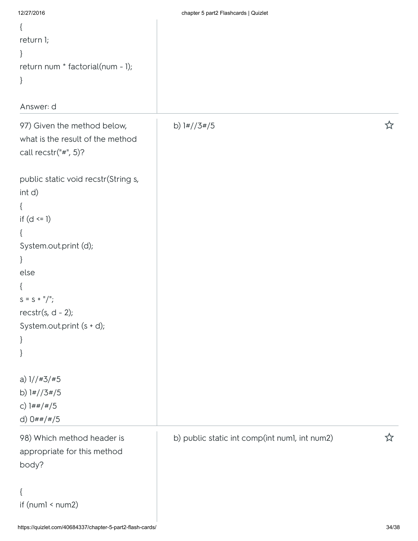| 12/27/2016                          | chapter 5 part2 Flashcards   Quizlet          |    |
|-------------------------------------|-----------------------------------------------|----|
| $\{$                                |                                               |    |
| return 1;                           |                                               |    |
| $\}$                                |                                               |    |
| return num * factorial(num - 1);    |                                               |    |
| $\}$                                |                                               |    |
|                                     |                                               |    |
| Answer: d                           |                                               |    |
| 97) Given the method below,         | b) $1\frac{\mu}{3}\frac{\mu}{5}$              | ኢን |
| what is the result of the method    |                                               |    |
| call $rectr("#", 5)?$               |                                               |    |
|                                     |                                               |    |
| public static void recstr(String s, |                                               |    |
| int d)                              |                                               |    |
| $\{$                                |                                               |    |
| if $(d \leq 1)$                     |                                               |    |
| $\{$                                |                                               |    |
| System.out.print (d);               |                                               |    |
| $\}$                                |                                               |    |
| else                                |                                               |    |
| $\{$                                |                                               |    |
| $S = S + \frac{11}{7}$              |                                               |    |
| recstr(s, $d - 2$ );                |                                               |    |
| System.out.print (s + d);           |                                               |    |
| $\}$                                |                                               |    |
| }                                   |                                               |    |
|                                     |                                               |    |
| a) $1//#3/*5$                       |                                               |    |
| b) $1\frac{\#}{3\#/5}$              |                                               |    |
| c) $1##/#/5$                        |                                               |    |
| d) $0##}/#/5$                       |                                               |    |
| 98) Which method header is          | b) public static int comp(int numl, int num2) | ኢ7 |
| appropriate for this method         |                                               |    |
| body?                               |                                               |    |
|                                     |                                               |    |
| $\{$                                |                                               |    |
| if $(num1 < num2)$                  |                                               |    |
|                                     |                                               |    |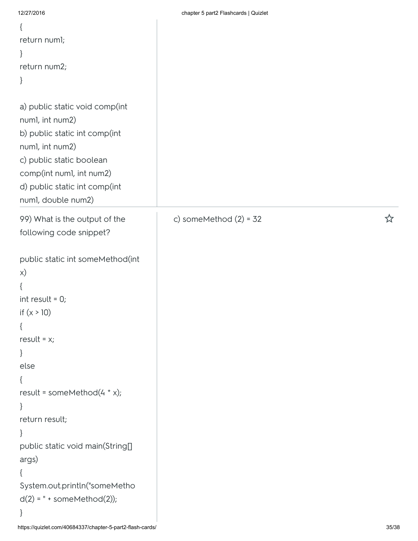| 12/27/2016                                                                                                                                                                                                                                                                                                      | chapter 5 part2 Flashcards   Quizlet |   |
|-----------------------------------------------------------------------------------------------------------------------------------------------------------------------------------------------------------------------------------------------------------------------------------------------------------------|--------------------------------------|---|
| $\{$                                                                                                                                                                                                                                                                                                            |                                      |   |
| return numl;                                                                                                                                                                                                                                                                                                    |                                      |   |
| $\}$                                                                                                                                                                                                                                                                                                            |                                      |   |
| return num2;                                                                                                                                                                                                                                                                                                    |                                      |   |
| $\}$                                                                                                                                                                                                                                                                                                            |                                      |   |
| a) public static void comp(int<br>numl, int num2)<br>b) public static int comp(int<br>numl, int num2)<br>c) public static boolean<br>comp(int numl, int num2)<br>d) public static int comp(int<br>numl, double num2)                                                                                            |                                      |   |
| 99) What is the output of the                                                                                                                                                                                                                                                                                   | c) someMethod $(2) = 32$             | ☆ |
| following code snippet?                                                                                                                                                                                                                                                                                         |                                      |   |
| public static int someMethod(int<br>X)<br>₹<br>int result = $0$ ;<br>if $(x > 10)$<br>$\{$<br>result = $x$ ;<br>}<br>else<br>₹<br>result = someMethod( $4 * x$ );<br>}<br>return result;<br>}<br>public static void main(String[]<br>args)<br>€<br>System.out.println("someMetho<br>$d(2) = " + somewhat (2));$ |                                      |   |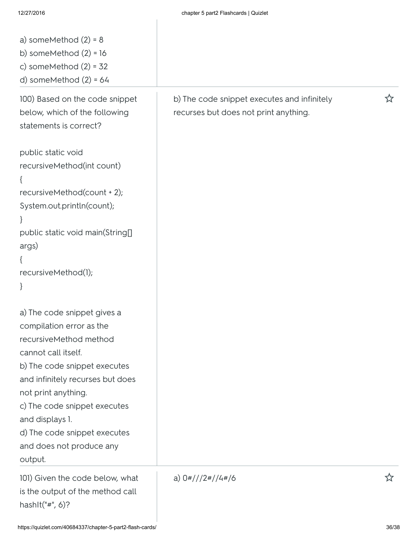| a) someMethod $(2) = 8$<br>b) someMethod $(2) = 16$<br>c) someMethod $(2) = 32$<br>d) someMethod $(2) = 64$                                                                                                                                                                                                                   |                                                                                      |   |
|-------------------------------------------------------------------------------------------------------------------------------------------------------------------------------------------------------------------------------------------------------------------------------------------------------------------------------|--------------------------------------------------------------------------------------|---|
| 100) Based on the code snippet<br>below, which of the following<br>statements is correct?                                                                                                                                                                                                                                     | b) The code snippet executes and infinitely<br>recurses but does not print anything. | ☆ |
| public static void<br>recursiveMethod(int count)<br>$\{$<br>recursiveMethod(count + 2);<br>System.out.println(count);<br>$\mathcal{F}$<br>public static void main(String[]<br>args)<br>$\mathcal{L}$<br>recursiveMethod(1);<br>$\}$                                                                                           |                                                                                      |   |
| a) The code snippet gives a<br>compilation error as the<br>recursiveMethod method<br>cannot call itself.<br>b) The code snippet executes<br>and infinitely recurses but does<br>not print anything.<br>c) The code snippet executes<br>and displays 1.<br>d) The code snippet executes<br>and does not produce any<br>output. |                                                                                      |   |
| 101) Given the code below, what<br>is the output of the method call<br>hashIt("#", $6$ )?                                                                                                                                                                                                                                     | a) $0\frac{\#}{12}\frac{4}{4}/4\frac{\#}{6}$                                         | ☆ |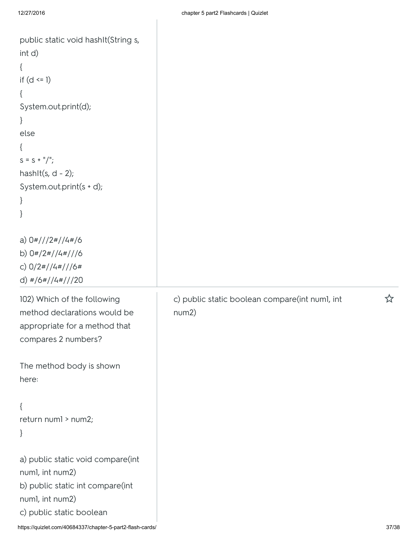| public static void hashIt(String s,<br>int d)<br>$\{$<br>if $(d \leq 1)$<br>€<br>System.out.print(d);<br>$\}$<br>else<br>$\left\{ \right.$<br>$S = S + \frac{11}{2}$<br>hashIt(s, $d - 2$ );<br>System.out.print(s + d);<br>$\}$<br>} |                                                         |       |
|---------------------------------------------------------------------------------------------------------------------------------------------------------------------------------------------------------------------------------------|---------------------------------------------------------|-------|
| a) $0\frac{\frac{1}{2}}{12\frac{\pi}{4}}$<br>b) $0\frac{\#}{2\#}/4\frac{\#}{16}$<br>c) $0/2$ #//4#///6#<br>d) $\frac{\#}{6}\frac{4}{14}\frac{1}{120}$                                                                                 |                                                         |       |
| 102) Which of the following<br>method declarations would be<br>appropriate for a method that<br>compares 2 numbers?                                                                                                                   | c) public static boolean compare(int numl, int<br>num2) | ☆     |
| The method body is shown<br>here:                                                                                                                                                                                                     |                                                         |       |
| $\{$<br>return numl > num2;<br>$\}$                                                                                                                                                                                                   |                                                         |       |
| a) public static void compare(int<br>numl, int num2)<br>b) public static int compare(int<br>numl, int num2)                                                                                                                           |                                                         |       |
| c) public static boolean<br>https://quizlet.com/40684337/chapter-5-part2-flash-cards/                                                                                                                                                 |                                                         | 37/38 |